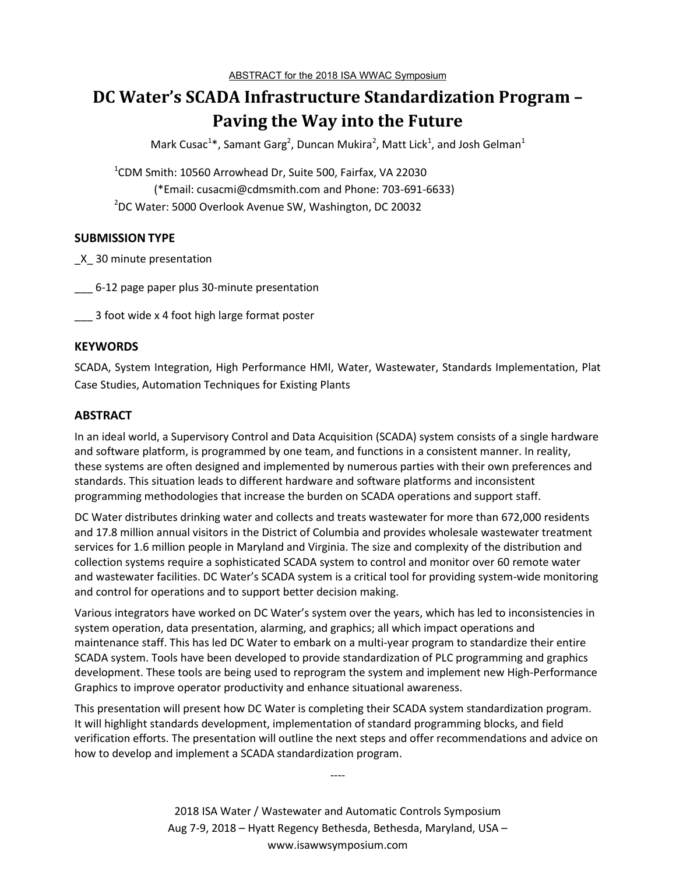# **DC Water's SCADA Infrastructure Standardization Program – Paving the Way into the Future**

Mark Cusac<sup>1\*</sup>, Samant Garg<sup>2</sup>, Duncan Mukira<sup>2</sup>, Matt Lick<sup>1</sup>, and Josh Gelman<sup>1</sup>

1 CDM Smith: 10560 Arrowhead Dr, Suite 500, Fairfax, VA 22030 (\*Email: cusacmi@cdmsmith.com and Phone: 703-691-6633) <sup>2</sup>DC Water: 5000 Overlook Avenue SW, Washington, DC 20032

## **SUBMISSION TYPE**

\_X\_ 30 minute presentation

\_\_\_ 6-12 page paper plus 30-minute presentation

3 foot wide x 4 foot high large format poster

## **KEYWORDS**

SCADA, System Integration, High Performance HMI, Water, Wastewater, Standards Implementation, Plat Case Studies, Automation Techniques for Existing Plants

## **ABSTRACT**

In an ideal world, a Supervisory Control and Data Acquisition (SCADA) system consists of a single hardware and software platform, is programmed by one team, and functions in a consistent manner. In reality, these systems are often designed and implemented by numerous parties with their own preferences and standards. This situation leads to different hardware and software platforms and inconsistent programming methodologies that increase the burden on SCADA operations and support staff.

DC Water distributes drinking water and collects and treats wastewater for more than 672,000 residents and 17.8 million annual visitors in the District of Columbia and provides wholesale wastewater treatment services for 1.6 million people in Maryland and Virginia. The size and complexity of the distribution and collection systems require a sophisticated SCADA system to control and monitor over 60 remote water and wastewater facilities. DC Water's SCADA system is a critical tool for providing system-wide monitoring and control for operations and to support better decision making.

Various integrators have worked on DC Water's system over the years, which has led to inconsistencies in system operation, data presentation, alarming, and graphics; all which impact operations and maintenance staff. This has led DC Water to embark on a multi-year program to standardize their entire SCADA system. Tools have been developed to provide standardization of PLC programming and graphics development. These tools are being used to reprogram the system and implement new High-Performance Graphics to improve operator productivity and enhance situational awareness.

This presentation will present how DC Water is completing their SCADA system standardization program. It will highlight standards development, implementation of standard programming blocks, and field verification efforts. The presentation will outline the next steps and offer recommendations and advice on how to develop and implement a SCADA standardization program.

----

2018 ISA Water / Wastewater and Automatic Controls Symposium Aug 7-9, 2018 – Hyatt Regency Bethesda, Bethesda, Maryland, USA – www.isawwsymposium.com